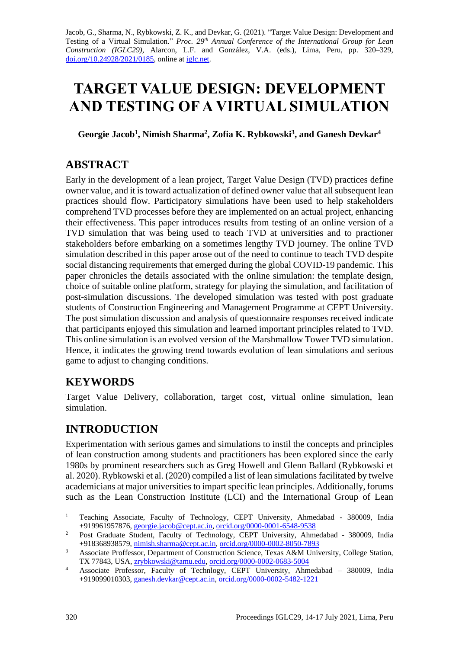Jacob, G., Sharma, N., Rybkowski, Z. K., and Devkar, G. (2021). "Target Value Design: Development and Testing of a Virtual Simulation." *Proc. 29<sup>th</sup> Annual Conference of the International Group for Lean Construction (IGLC29),* Alarcon, L.F. and González, V.A. (eds.)*,* Lima, Peru, pp. 320–329, [doi.org/10.24928/2021/0185,](https://doi.org/10.24928/2021/0185) online a[t iglc.net.](http://iglc.net/)

# **TARGET VALUE DESIGN: DEVELOPMENT AND TESTING OF A VIRTUAL SIMULATION**

**Georgie Jacob<sup>1</sup> , Nimish Sharma<sup>2</sup> , Zofia K. Rybkowski<sup>3</sup> , and Ganesh Devkar<sup>4</sup>**

### **ABSTRACT**

Early in the development of a lean project, Target Value Design (TVD) practices define owner value, and it is toward actualization of defined owner value that all subsequent lean practices should flow. Participatory simulations have been used to help stakeholders comprehend TVD processes before they are implemented on an actual project, enhancing their effectiveness. This paper introduces results from testing of an online version of a TVD simulation that was being used to teach TVD at universities and to practioner stakeholders before embarking on a sometimes lengthy TVD journey. The online TVD simulation described in this paper arose out of the need to continue to teach TVD despite social distancing requirements that emerged during the global COVID-19 pandemic. This paper chronicles the details associated with the online simulation: the template design, choice of suitable online platform, strategy for playing the simulation, and facilitation of post-simulation discussions. The developed simulation was tested with post graduate students of Construction Engineering and Management Programme at CEPT University. The post simulation discussion and analysis of questionnaire responses received indicate that participants enjoyed this simulation and learned important principles related to TVD. This online simulation is an evolved version of the Marshmallow Tower TVD simulation. Hence, it indicates the growing trend towards evolution of lean simulations and serious game to adjust to changing conditions.

# **KEYWORDS**

Target Value Delivery, collaboration, target cost, virtual online simulation, lean simulation.

# **INTRODUCTION**

Experimentation with serious games and simulations to instil the concepts and principles of lean construction among students and practitioners has been explored since the early 1980s by prominent researchers such as Greg Howell and Glenn Ballard (Rybkowski et al. 2020). Rybkowski et al. (2020) compiled a list of lean simulations facilitated by twelve academicians at major universities to impart specific lean principles. Additionally, forums such as the Lean Construction Institute (LCI) and the International Group of Lean

<sup>&</sup>lt;sup>1</sup> Teaching Associate, Faculty of Technology, CEPT University, Ahmedabad - 380009, India +919961957876[, georgie.jacob@cept.ac.in,](mailto:georgie.jacob@cept.ac.in) [orcid.org/0000-0001-6548-9538](http://orcid.org/0000-0001-6548-9538)

<sup>&</sup>lt;sup>2</sup> Post Graduate Student, Faculty of Technology, CEPT University, Ahmedabad - 380009, India +918368938579[, nimish.sharma@cept.ac.in,](mailto:nimish.sharma@cept.ac.in) [orcid.org/0000-0002-8050-7893](http://orcid.org/0000-0002-8050-7893)

<sup>&</sup>lt;sup>3</sup> Associate Proffessor, Department of Construction Science, Texas A&M University, College Station, TX 77843, USA, [zrybkowski@tamu.edu,](mailto:zrybkowski@tamu.edu) [orcid.org/0000-0002-0683-5004](http://orcid.org/0000-0002-0683-5004)

<sup>4</sup> Associate Professor, Faculty of Technlogy, CEPT University, Ahmedabad – 380009, India +919099010303[, ganesh.devkar@cept.ac.in,](mailto:ganesh.devkar@cept.ac.in) [orcid.org/0000-0002-5482-1221](http://orcid.org/0000-0002-5482-1221)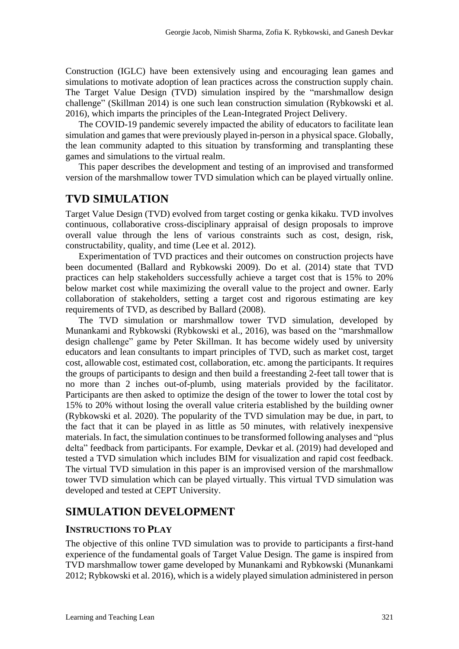Construction (IGLC) have been extensively using and encouraging lean games and simulations to motivate adoption of lean practices across the construction supply chain. The Target Value Design (TVD) simulation inspired by the "marshmallow design challenge" (Skillman 2014) is one such lean construction simulation (Rybkowski et al. 2016), which imparts the principles of the Lean-Integrated Project Delivery.

The COVID-19 pandemic severely impacted the ability of educators to facilitate lean simulation and games that were previously played in-person in a physical space. Globally, the lean community adapted to this situation by transforming and transplanting these games and simulations to the virtual realm.

This paper describes the development and testing of an improvised and transformed version of the marshmallow tower TVD simulation which can be played virtually online.

### **TVD SIMULATION**

Target Value Design (TVD) evolved from target costing or genka kikaku. TVD involves continuous, collaborative cross-disciplinary appraisal of design proposals to improve overall value through the lens of various constraints such as cost, design, risk, constructability, quality, and time (Lee et al. 2012).

Experimentation of TVD practices and their outcomes on construction projects have been documented (Ballard and Rybkowski 2009). Do et al. (2014) state that TVD practices can help stakeholders successfully achieve a target cost that is 15% to 20% below market cost while maximizing the overall value to the project and owner. Early collaboration of stakeholders, setting a target cost and rigorous estimating are key requirements of TVD, as described by Ballard (2008).

The TVD simulation or marshmallow tower TVD simulation, developed by Munankami and Rybkowski (Rybkowski et al., 2016), was based on the "marshmallow design challenge" game by Peter Skillman. It has become widely used by university educators and lean consultants to impart principles of TVD, such as market cost, target cost, allowable cost, estimated cost, collaboration, etc. among the participants. It requires the groups of participants to design and then build a freestanding 2-feet tall tower that is no more than 2 inches out-of-plumb, using materials provided by the facilitator. Participants are then asked to optimize the design of the tower to lower the total cost by 15% to 20% without losing the overall value criteria established by the building owner (Rybkowski et al. 2020). The popularity of the TVD simulation may be due, in part, to the fact that it can be played in as little as 50 minutes, with relatively inexpensive materials. In fact, the simulation continues to be transformed following analyses and "plus delta" feedback from participants. For example, Devkar et al. (2019) had developed and tested a TVD simulation which includes BIM for visualization and rapid cost feedback. The virtual TVD simulation in this paper is an improvised version of the marshmallow tower TVD simulation which can be played virtually. This virtual TVD simulation was developed and tested at CEPT University.

### **SIMULATION DEVELOPMENT**

#### **INSTRUCTIONS TO PLAY**

The objective of this online TVD simulation was to provide to participants a first-hand experience of the fundamental goals of Target Value Design. The game is inspired from TVD marshmallow tower game developed by Munankami and Rybkowski (Munankami 2012; Rybkowski et al. 2016), which is a widely played simulation administered in person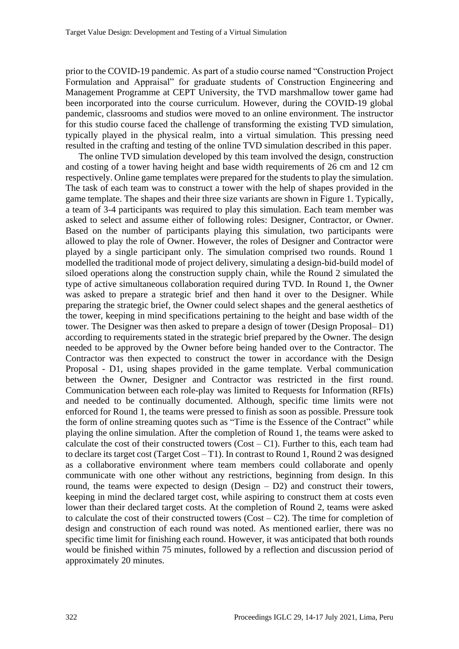prior to the COVID-19 pandemic. As part of a studio course named "Construction Project Formulation and Appraisal" for graduate students of Construction Engineering and Management Programme at CEPT University, the TVD marshmallow tower game had been incorporated into the course curriculum. However, during the COVID-19 global pandemic, classrooms and studios were moved to an online environment. The instructor for this studio course faced the challenge of transforming the existing TVD simulation, typically played in the physical realm, into a virtual simulation. This pressing need resulted in the crafting and testing of the online TVD simulation described in this paper.

The online TVD simulation developed by this team involved the design, construction and costing of a tower having height and base width requirements of 26 cm and 12 cm respectively. Online game templates were prepared for the students to play the simulation. The task of each team was to construct a tower with the help of shapes provided in the game template. The shapes and their three size variants are shown in Figure 1. Typically, a team of 3-4 participants was required to play this simulation. Each team member was asked to select and assume either of following roles: Designer, Contractor, or Owner. Based on the number of participants playing this simulation, two participants were allowed to play the role of Owner. However, the roles of Designer and Contractor were played by a single participant only. The simulation comprised two rounds. Round 1 modelled the traditional mode of project delivery, simulating a design-bid-build model of siloed operations along the construction supply chain, while the Round 2 simulated the type of active simultaneous collaboration required during TVD. In Round 1, the Owner was asked to prepare a strategic brief and then hand it over to the Designer. While preparing the strategic brief, the Owner could select shapes and the general aesthetics of the tower, keeping in mind specifications pertaining to the height and base width of the tower. The Designer was then asked to prepare a design of tower (Design Proposal– D1) according to requirements stated in the strategic brief prepared by the Owner. The design needed to be approved by the Owner before being handed over to the Contractor. The Contractor was then expected to construct the tower in accordance with the Design Proposal - D1, using shapes provided in the game template. Verbal communication between the Owner, Designer and Contractor was restricted in the first round. Communication between each role-play was limited to Requests for Information (RFIs) and needed to be continually documented. Although, specific time limits were not enforced for Round 1, the teams were pressed to finish as soon as possible. Pressure took the form of online streaming quotes such as "Time is the Essence of the Contract" while playing the online simulation. After the completion of Round 1, the teams were asked to calculate the cost of their constructed towers  $(Cost - C1)$ . Further to this, each team had to declare its target cost (Target Cost – T1). In contrast to Round 1, Round 2 was designed as a collaborative environment where team members could collaborate and openly communicate with one other without any restrictions, beginning from design. In this round, the teams were expected to design  $(Design - D2)$  and construct their towers, keeping in mind the declared target cost, while aspiring to construct them at costs even lower than their declared target costs. At the completion of Round 2, teams were asked to calculate the cost of their constructed towers  $(Cost - C2)$ . The time for completion of design and construction of each round was noted. As mentioned earlier, there was no specific time limit for finishing each round. However, it was anticipated that both rounds would be finished within 75 minutes, followed by a reflection and discussion period of approximately 20 minutes.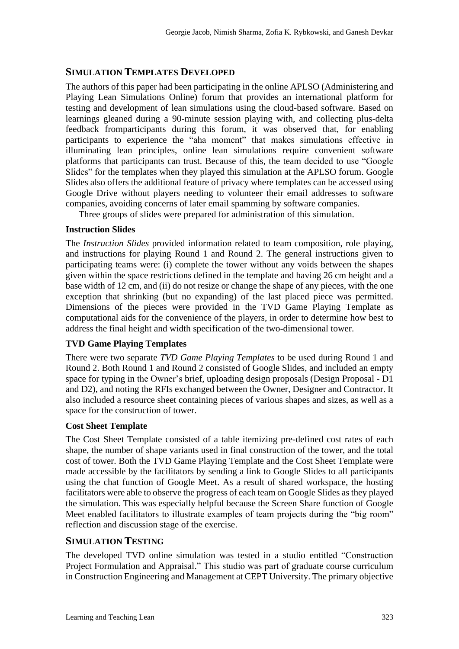#### **SIMULATION TEMPLATES DEVELOPED**

The authors of this paper had been participating in the online APLSO (Administering and Playing Lean Simulations Online) forum that provides an international platform for testing and development of lean simulations using the cloud-based software. Based on learnings gleaned during a 90-minute session playing with, and collecting plus-delta feedback fromparticipants during this forum, it was observed that, for enabling participants to experience the "aha moment" that makes simulations effective in illuminating lean principles, online lean simulations require convenient software platforms that participants can trust. Because of this, the team decided to use "Google Slides" for the templates when they played this simulation at the APLSO forum. Google Slides also offers the additional feature of privacy where templates can be accessed using Google Drive without players needing to volunteer their email addresses to software companies, avoiding concerns of later email spamming by software companies.

Three groups of slides were prepared for administration of this simulation.

#### **Instruction Slides**

The *Instruction Slides* provided information related to team composition, role playing, and instructions for playing Round 1 and Round 2. The general instructions given to participating teams were: (i) complete the tower without any voids between the shapes given within the space restrictions defined in the template and having 26 cm height and a base width of 12 cm, and (ii) do not resize or change the shape of any pieces, with the one exception that shrinking (but no expanding) of the last placed piece was permitted. Dimensions of the pieces were provided in the TVD Game Playing Template as computational aids for the convenience of the players, in order to determine how best to address the final height and width specification of the two-dimensional tower.

#### **TVD Game Playing Templates**

There were two separate *TVD Game Playing Templates* to be used during Round 1 and Round 2. Both Round 1 and Round 2 consisted of Google Slides, and included an empty space for typing in the Owner's brief, uploading design proposals (Design Proposal - D1 and D2), and noting the RFIs exchanged between the Owner, Designer and Contractor. It also included a resource sheet containing pieces of various shapes and sizes, as well as a space for the construction of tower.

#### **Cost Sheet Template**

The Cost Sheet Template consisted of a table itemizing pre-defined cost rates of each shape, the number of shape variants used in final construction of the tower, and the total cost of tower. Both the TVD Game Playing Template and the Cost Sheet Template were made accessible by the facilitators by sending a link to Google Slides to all participants using the chat function of Google Meet. As a result of shared workspace, the hosting facilitators were able to observe the progress of each team on Google Slides as they played the simulation. This was especially helpful because the Screen Share function of Google Meet enabled facilitators to illustrate examples of team projects during the "big room" reflection and discussion stage of the exercise.

#### **SIMULATION TESTING**

The developed TVD online simulation was tested in a studio entitled "Construction Project Formulation and Appraisal." This studio was part of graduate course curriculum in Construction Engineering and Management at CEPT University. The primary objective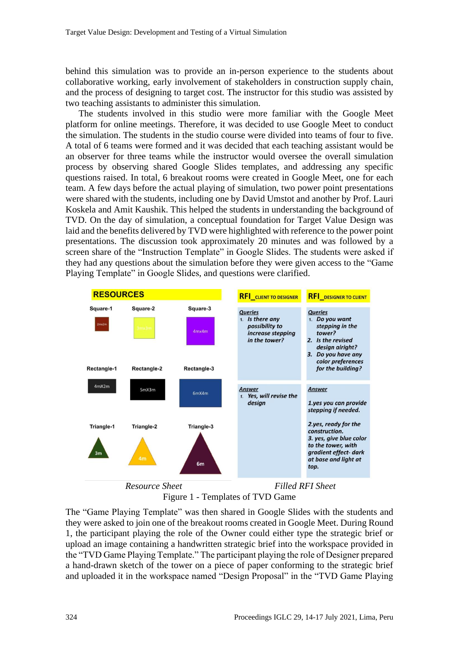behind this simulation was to provide an in-person experience to the students about collaborative working, early involvement of stakeholders in construction supply chain, and the process of designing to target cost. The instructor for this studio was assisted by two teaching assistants to administer this simulation.

The students involved in this studio were more familiar with the Google Meet platform for online meetings. Therefore, it was decided to use Google Meet to conduct the simulation. The students in the studio course were divided into teams of four to five. A total of 6 teams were formed and it was decided that each teaching assistant would be an observer for three teams while the instructor would oversee the overall simulation process by observing shared Google Slides templates, and addressing any specific questions raised. In total, 6 breakout rooms were created in Google Meet, one for each team. A few days before the actual playing of simulation, two power point presentations were shared with the students, including one by David Umstot and another by Prof. Lauri Koskela and Amit Kaushik. This helped the students in understanding the background of TVD. On the day of simulation, a conceptual foundation for Target Value Design was laid and the benefits delivered by TVD were highlighted with reference to the power point presentations. The discussion took approximately 20 minutes and was followed by a screen share of the "Instruction Template" in Google Slides. The students were asked if they had any questions about the simulation before they were given access to the "Game Playing Template" in Google Slides, and questions were clarified.



Figure 1 - Templates of TVD Game

The "Game Playing Template" was then shared in Google Slides with the students and they were asked to join one of the breakout rooms created in Google Meet. During Round 1, the participant playing the role of the Owner could either type the strategic brief or upload an image containing a handwritten strategic brief into the workspace provided in the "TVD Game Playing Template." The participant playing the role of Designer prepared a hand-drawn sketch of the tower on a piece of paper conforming to the strategic brief and uploaded it in the workspace named "Design Proposal" in the "TVD Game Playing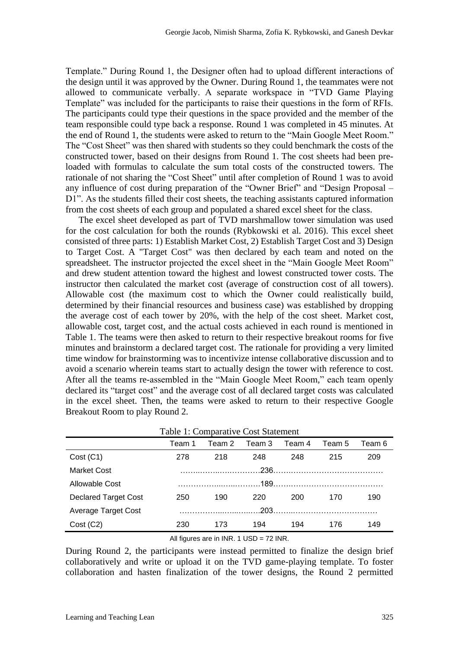Template." During Round 1, the Designer often had to upload different interactions of the design until it was approved by the Owner. During Round 1, the teammates were not allowed to communicate verbally. A separate workspace in "TVD Game Playing Template" was included for the participants to raise their questions in the form of RFIs. The participants could type their questions in the space provided and the member of the team responsible could type back a response. Round 1 was completed in 45 minutes. At the end of Round 1, the students were asked to return to the "Main Google Meet Room." The "Cost Sheet" was then shared with students so they could benchmark the costs of the constructed tower, based on their designs from Round 1. The cost sheets had been preloaded with formulas to calculate the sum total costs of the constructed towers. The rationale of not sharing the "Cost Sheet" until after completion of Round 1 was to avoid any influence of cost during preparation of the "Owner Brief" and "Design Proposal – D1". As the students filled their cost sheets, the teaching assistants captured information from the cost sheets of each group and populated a shared excel sheet for the class.

The excel sheet developed as part of TVD marshmallow tower simulation was used for the cost calculation for both the rounds (Rybkowski et al. 2016). This excel sheet consisted of three parts: 1) Establish Market Cost, 2) Establish Target Cost and 3) Design to Target Cost. A "Target Cost" was then declared by each team and noted on the spreadsheet. The instructor projected the excel sheet in the "Main Google Meet Room" and drew student attention toward the highest and lowest constructed tower costs. The instructor then calculated the market cost (average of construction cost of all towers). Allowable cost (the maximum cost to which the Owner could realistically build, determined by their financial resources and business case) was established by dropping the average cost of each tower by 20%, with the help of the cost sheet. Market cost, allowable cost, target cost, and the actual costs achieved in each round is mentioned in Table 1. The teams were then asked to return to their respective breakout rooms for five minutes and brainstorm a declared target cost. The rationale for providing a very limited time window for brainstorming was to incentivize intense collaborative discussion and to avoid a scenario wherein teams start to actually design the tower with reference to cost. After all the teams re-assembled in the "Main Google Meet Room," each team openly declared its "target cost" and the average cost of all declared target costs was calculated in the excel sheet. Then, the teams were asked to return to their respective Google Breakout Room to play Round 2.

| Table 1: Comparative Cost Statement                                                                                                                                                                                                                                                                                                |        |        |        |        |        |        |
|------------------------------------------------------------------------------------------------------------------------------------------------------------------------------------------------------------------------------------------------------------------------------------------------------------------------------------|--------|--------|--------|--------|--------|--------|
|                                                                                                                                                                                                                                                                                                                                    | Team 1 | Team 2 | Team 3 | Team 4 | Team 5 | Team 6 |
| Cost (C1)                                                                                                                                                                                                                                                                                                                          | 278    | 218    | 248    | 248    | 215    | 209    |
| <b>Market Cost</b>                                                                                                                                                                                                                                                                                                                 |        |        |        |        |        |        |
| Allowable Cost                                                                                                                                                                                                                                                                                                                     |        |        |        |        |        |        |
| <b>Declared Target Cost</b>                                                                                                                                                                                                                                                                                                        | 250    | 190    | 220    | 200    | 170    | 190    |
| Average Target Cost                                                                                                                                                                                                                                                                                                                |        |        |        |        |        |        |
| Cost (C2)                                                                                                                                                                                                                                                                                                                          | 230    | 173    | 194    | 194    | 176    | 149    |
| $\mathbf{A} \mathbf{B}$ $\mathbf{C}$ $\mathbf{A}$ $\mathbf{A}$ $\mathbf{A}$ $\mathbf{A}$ $\mathbf{A}$ $\mathbf{A}$ $\mathbf{A}$ $\mathbf{A}$ $\mathbf{A}$ $\mathbf{A}$ $\mathbf{A}$ $\mathbf{A}$ $\mathbf{A}$ $\mathbf{A}$ $\mathbf{A}$ $\mathbf{A}$ $\mathbf{A}$ $\mathbf{A}$ $\mathbf{A}$ $\mathbf{A}$ $\mathbf{A}$ $\mathbf{A}$ |        |        |        |        |        |        |

All figures are in INR. 1 USD = 72 INR.

During Round 2, the participants were instead permitted to finalize the design brief collaboratively and write or upload it on the TVD game-playing template. To foster collaboration and hasten finalization of the tower designs, the Round 2 permitted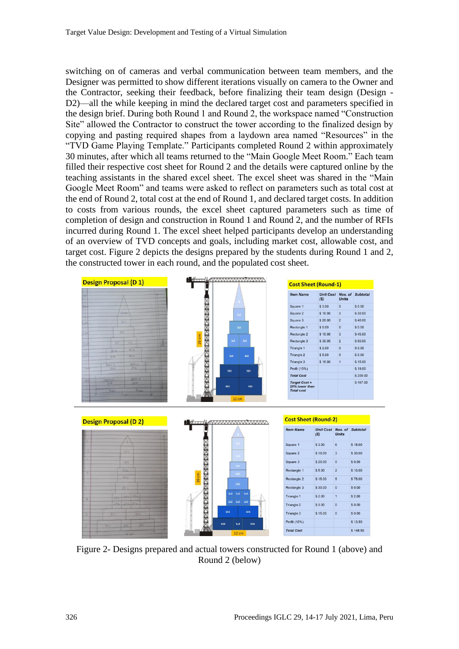switching on of cameras and verbal communication between team members, and the Designer was permitted to show different iterations visually on camera to the Owner and the Contractor, seeking their feedback, before finalizing their team design (Design - D<sub>2</sub>)—all the while keeping in mind the declared target cost and parameters specified in the design brief. During both Round 1 and Round 2, the workspace named "Construction Site" allowed the Contractor to construct the tower according to the finalized design by copying and pasting required shapes from a laydown area named "Resources" in the "TVD Game Playing Template." Participants completed Round 2 within approximately 30 minutes, after which all teams returned to the "Main Google Meet Room." Each team filled their respective cost sheet for Round 2 and the details were captured online by the teaching assistants in the shared excel sheet. The excel sheet was shared in the "Main Google Meet Room" and teams were asked to reflect on parameters such as total cost at the end of Round 2, total cost at the end of Round 1, and declared target costs. In addition to costs from various rounds, the excel sheet captured parameters such as time of completion of design and construction in Round 1 and Round 2, and the number of RFIs incurred during Round 1. The excel sheet helped participants develop an understanding of an overview of TVD concepts and goals, including market cost, allowable cost, and target cost. Figure 2 depicts the designs prepared by the students during Round 1 and 2, the constructed tower in each round, and the populated cost sheet.



Figure 2- Designs prepared and actual towers constructed for Round 1 (above) and Round 2 (below)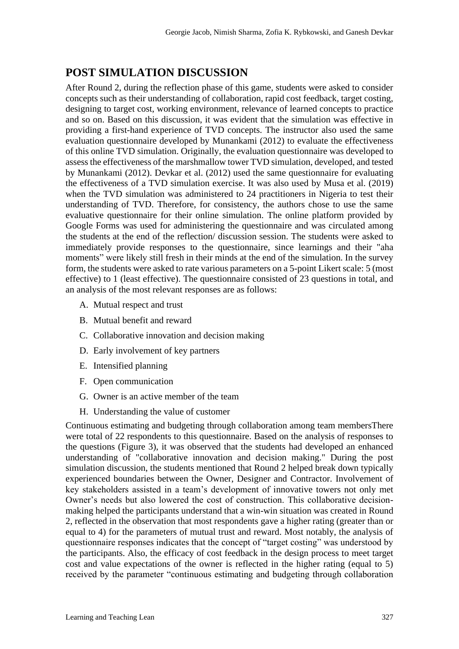### **POST SIMULATION DISCUSSION**

After Round 2, during the reflection phase of this game, students were asked to consider concepts such as their understanding of collaboration, rapid cost feedback, target costing, designing to target cost, working environment, relevance of learned concepts to practice and so on. Based on this discussion, it was evident that the simulation was effective in providing a first-hand experience of TVD concepts. The instructor also used the same evaluation questionnaire developed by Munankami (2012) to evaluate the effectiveness of this online TVD simulation. Originally, the evaluation questionnaire was developed to assessthe effectiveness of the marshmallow tower TVD simulation, developed, and tested by Munankami (2012). Devkar et al. (2012) used the same questionnaire for evaluating the effectiveness of a TVD simulation exercise. It was also used by Musa et al. (2019) when the TVD simulation was administered to 24 practitioners in Nigeria to test their understanding of TVD. Therefore, for consistency, the authors chose to use the same evaluative questionnaire for their online simulation. The online platform provided by Google Forms was used for administering the questionnaire and was circulated among the students at the end of the reflection/ discussion session. The students were asked to immediately provide responses to the questionnaire, since learnings and their "aha moments" were likely still fresh in their minds at the end of the simulation. In the survey form, the students were asked to rate various parameters on a 5-point Likert scale: 5 (most effective) to 1 (least effective). The questionnaire consisted of 23 questions in total, and an analysis of the most relevant responses are as follows:

- A. Mutual respect and trust
- B. Mutual benefit and reward
- C. Collaborative innovation and decision making
- D. Early involvement of key partners
- E. Intensified planning
- F. Open communication
- G. Owner is an active member of the team
- H. Understanding the value of customer

Continuous estimating and budgeting through collaboration among team membersThere were total of 22 respondents to this questionnaire. Based on the analysis of responses to the questions (Figure 3), it was observed that the students had developed an enhanced understanding of "collaborative innovation and decision making." During the post simulation discussion, the students mentioned that Round 2 helped break down typically experienced boundaries between the Owner, Designer and Contractor. Involvement of key stakeholders assisted in a team's development of innovative towers not only met Owner's needs but also lowered the cost of construction. This collaborative decisionmaking helped the participants understand that a win-win situation was created in Round 2, reflected in the observation that most respondents gave a higher rating (greater than or equal to 4) for the parameters of mutual trust and reward. Most notably, the analysis of questionnaire responses indicates that the concept of "target costing" was understood by the participants. Also, the efficacy of cost feedback in the design process to meet target cost and value expectations of the owner is reflected in the higher rating (equal to 5) received by the parameter "continuous estimating and budgeting through collaboration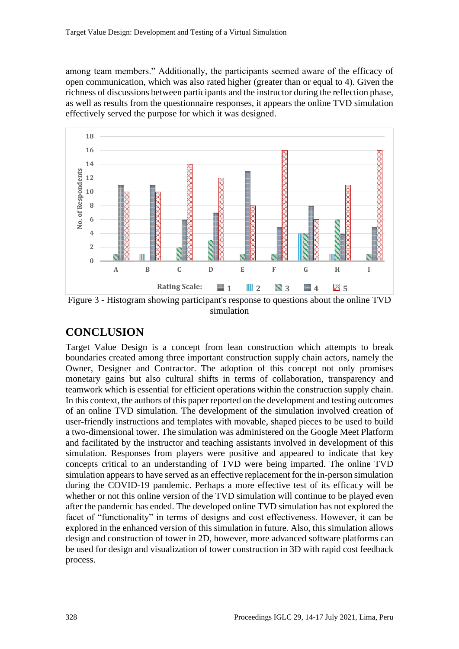among team members." Additionally, the participants seemed aware of the efficacy of open communication, which was also rated higher (greater than or equal to 4). Given the richness of discussions between participants and the instructor during the reflection phase, as well as results from the questionnaire responses, it appears the online TVD simulation effectively served the purpose for which it was designed.



Figure 3 - Histogram showing participant's response to questions about the online TVD simulation

# **CONCLUSION**

Target Value Design is a concept from lean construction which attempts to break boundaries created among three important construction supply chain actors, namely the Owner, Designer and Contractor. The adoption of this concept not only promises monetary gains but also cultural shifts in terms of collaboration, transparency and teamwork which is essential for efficient operations within the construction supply chain. In this context, the authors of this paper reported on the development and testing outcomes of an online TVD simulation. The development of the simulation involved creation of user-friendly instructions and templates with movable, shaped pieces to be used to build a two-dimensional tower. The simulation was administered on the Google Meet Platform and facilitated by the instructor and teaching assistants involved in development of this simulation. Responses from players were positive and appeared to indicate that key concepts critical to an understanding of TVD were being imparted. The online TVD simulation appears to have served as an effective replacement for the in-person simulation during the COVID-19 pandemic. Perhaps a more effective test of its efficacy will be whether or not this online version of the TVD simulation will continue to be played even after the pandemic has ended. The developed online TVD simulation has not explored the facet of "functionality" in terms of designs and cost effectiveness. However, it can be explored in the enhanced version of this simulation in future. Also, this simulation allows design and construction of tower in 2D, however, more advanced software platforms can be used for design and visualization of tower construction in 3D with rapid cost feedback process.